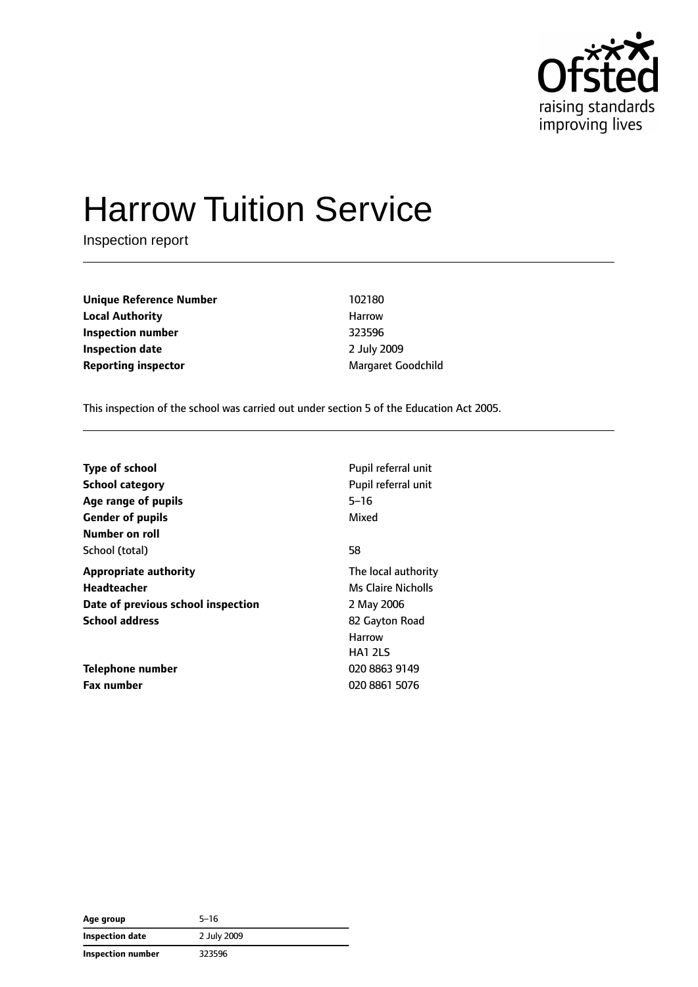

# Harrow Tuition Service

Inspection report

**Unique Reference Number** 102180 **Local Authority Harrow** Harrow **Inspection number** 323596 **Inspection date** 2 July 2009 **Reporting inspector** Margaret Goodchild

This inspection of the school was carried out under section 5 of the Education Act 2005.

| <b>Type of school</b>              | Pupil referral unit |
|------------------------------------|---------------------|
| <b>School category</b>             | Pupil referral unit |
| Age range of pupils                | $5 - 16$            |
| <b>Gender of pupils</b>            | Mixed               |
| Number on roll                     |                     |
| School (total)                     | 58                  |
| <b>Appropriate authority</b>       | The local authority |
| Headteacher                        | Ms Claire Nicholls  |
| Date of previous school inspection | 2 May 2006          |
| <b>School address</b>              | 82 Gayton Road      |
|                                    | <b>Harrow</b>       |
|                                    | <b>HA1 2LS</b>      |
| Telephone number                   | 020 8863 9149       |
| <b>Fax number</b>                  | 020 8861 5076       |

| Age group              | 5–16        |
|------------------------|-------------|
| <b>Inspection date</b> | 2 July 2009 |
| Inspection number      | 323596      |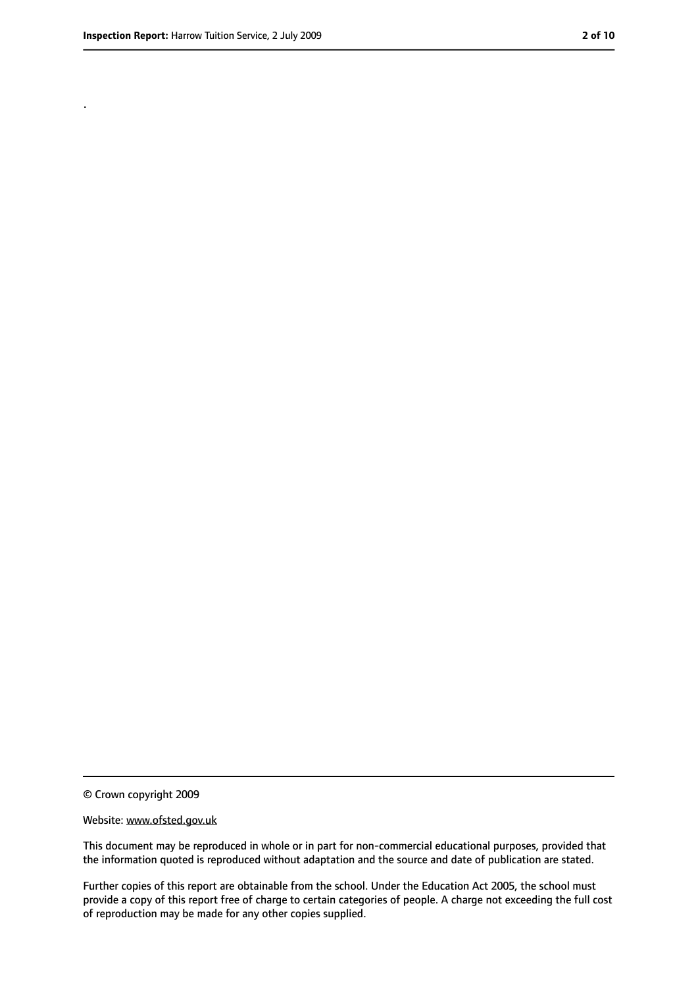.

<sup>©</sup> Crown copyright 2009

Website: www.ofsted.gov.uk

This document may be reproduced in whole or in part for non-commercial educational purposes, provided that the information quoted is reproduced without adaptation and the source and date of publication are stated.

Further copies of this report are obtainable from the school. Under the Education Act 2005, the school must provide a copy of this report free of charge to certain categories of people. A charge not exceeding the full cost of reproduction may be made for any other copies supplied.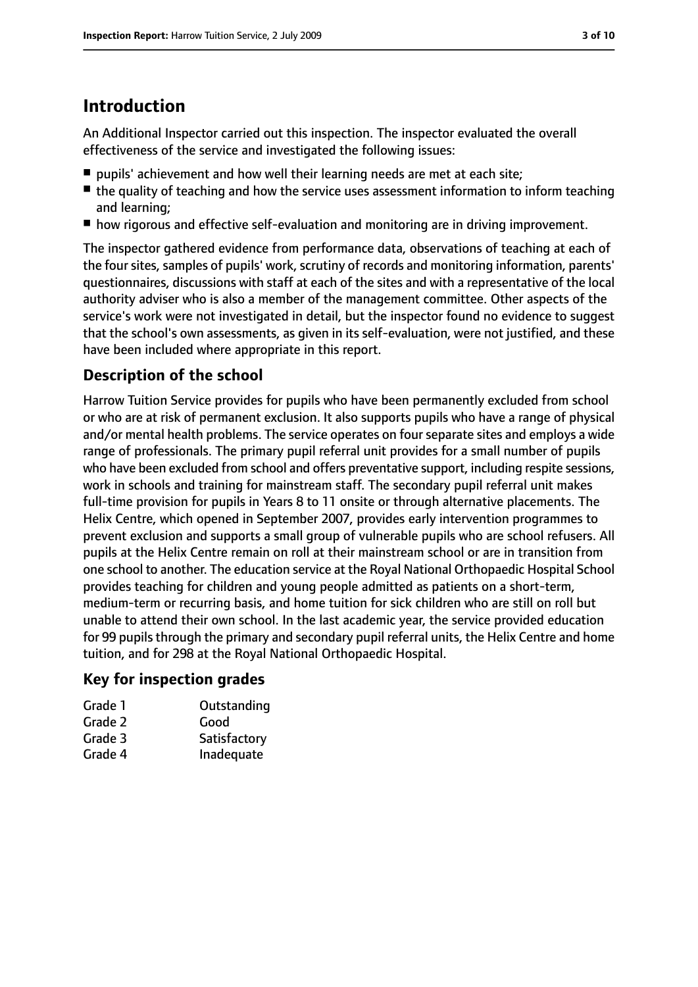# **Introduction**

An Additional Inspector carried out this inspection. The inspector evaluated the overall effectiveness of the service and investigated the following issues:

- pupils' achievement and how well their learning needs are met at each site:
- the quality of teaching and how the service uses assessment information to inform teaching and learning;
- how rigorous and effective self-evaluation and monitoring are in driving improvement.

The inspector gathered evidence from performance data, observations of teaching at each of the four sites, samples of pupils' work, scrutiny of records and monitoring information, parents' questionnaires, discussions with staff at each of the sites and with a representative of the local authority adviser who is also a member of the management committee. Other aspects of the service's work were not investigated in detail, but the inspector found no evidence to suggest that the school's own assessments, as given in its self-evaluation, were not justified, and these have been included where appropriate in this report.

# **Description of the school**

Harrow Tuition Service provides for pupils who have been permanently excluded from school or who are at risk of permanent exclusion. It also supports pupils who have a range of physical and/or mental health problems. The service operates on four separate sites and employs a wide range of professionals. The primary pupil referral unit provides for a small number of pupils who have been excluded from school and offers preventative support, including respite sessions, work in schools and training for mainstream staff. The secondary pupil referral unit makes full-time provision for pupils in Years 8 to 11 onsite or through alternative placements. The Helix Centre, which opened in September 2007, provides early intervention programmes to prevent exclusion and supports a small group of vulnerable pupils who are school refusers. All pupils at the Helix Centre remain on roll at their mainstream school or are in transition from one school to another. The education service at the Royal National Orthopaedic Hospital School provides teaching for children and young people admitted as patients on a short-term, medium-term or recurring basis, and home tuition for sick children who are still on roll but unable to attend their own school. In the last academic year, the service provided education for 99 pupils through the primary and secondary pupil referral units, the Helix Centre and home tuition, and for 298 at the Royal National Orthopaedic Hospital.

### **Key for inspection grades**

| Outstanding  |
|--------------|
| Good         |
| Satisfactory |
| Inadequate   |
|              |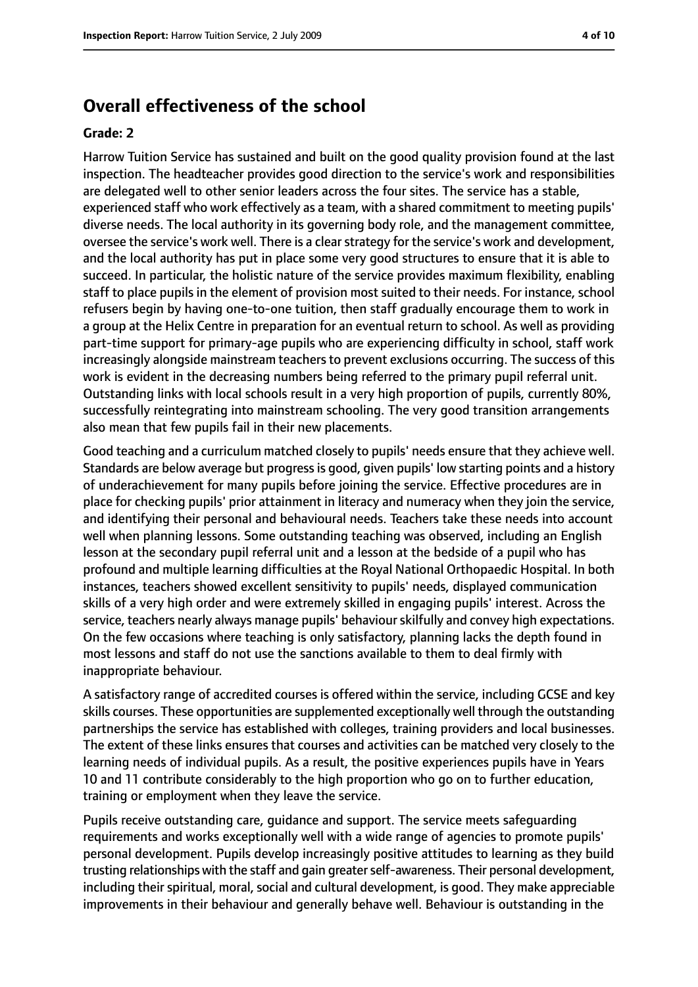## **Overall effectiveness of the school**

#### **Grade: 2**

Harrow Tuition Service has sustained and built on the good quality provision found at the last inspection. The headteacher provides good direction to the service's work and responsibilities are delegated well to other senior leaders across the four sites. The service has a stable, experienced staff who work effectively as a team, with a shared commitment to meeting pupils' diverse needs. The local authority in its governing body role, and the management committee, oversee the service's work well. There is a clear strategy for the service's work and development, and the local authority has put in place some very good structures to ensure that it is able to succeed. In particular, the holistic nature of the service provides maximum flexibility, enabling staff to place pupils in the element of provision most suited to their needs. For instance, school refusers begin by having one-to-one tuition, then staff gradually encourage them to work in a group at the Helix Centre in preparation for an eventual return to school. As well as providing part-time support for primary-age pupils who are experiencing difficulty in school, staff work increasingly alongside mainstream teachers to prevent exclusions occurring. The success of this work is evident in the decreasing numbers being referred to the primary pupil referral unit. Outstanding links with local schools result in a very high proportion of pupils, currently 80%, successfully reintegrating into mainstream schooling. The very good transition arrangements also mean that few pupils fail in their new placements.

Good teaching and a curriculum matched closely to pupils' needs ensure that they achieve well. Standards are below average but progressis good, given pupils' low starting points and a history of underachievement for many pupils before joining the service. Effective procedures are in place for checking pupils' prior attainment in literacy and numeracy when they join the service, and identifying their personal and behavioural needs. Teachers take these needs into account well when planning lessons. Some outstanding teaching was observed, including an English lesson at the secondary pupil referral unit and a lesson at the bedside of a pupil who has profound and multiple learning difficulties at the Royal National Orthopaedic Hospital. In both instances, teachers showed excellent sensitivity to pupils' needs, displayed communication skills of a very high order and were extremely skilled in engaging pupils' interest. Across the service, teachers nearly always manage pupils' behaviour skilfully and convey high expectations. On the few occasions where teaching is only satisfactory, planning lacks the depth found in most lessons and staff do not use the sanctions available to them to deal firmly with inappropriate behaviour.

A satisfactory range of accredited courses is offered within the service, including GCSE and key skills courses. These opportunities are supplemented exceptionally well through the outstanding partnerships the service has established with colleges, training providers and local businesses. The extent of these links ensures that courses and activities can be matched very closely to the learning needs of individual pupils. As a result, the positive experiences pupils have in Years 10 and 11 contribute considerably to the high proportion who go on to further education, training or employment when they leave the service.

Pupils receive outstanding care, guidance and support. The service meets safeguarding requirements and works exceptionally well with a wide range of agencies to promote pupils' personal development. Pupils develop increasingly positive attitudes to learning as they build trusting relationships with the staff and gain greaterself-awareness. Their personal development, including their spiritual, moral, social and cultural development, is good. They make appreciable improvements in their behaviour and generally behave well. Behaviour is outstanding in the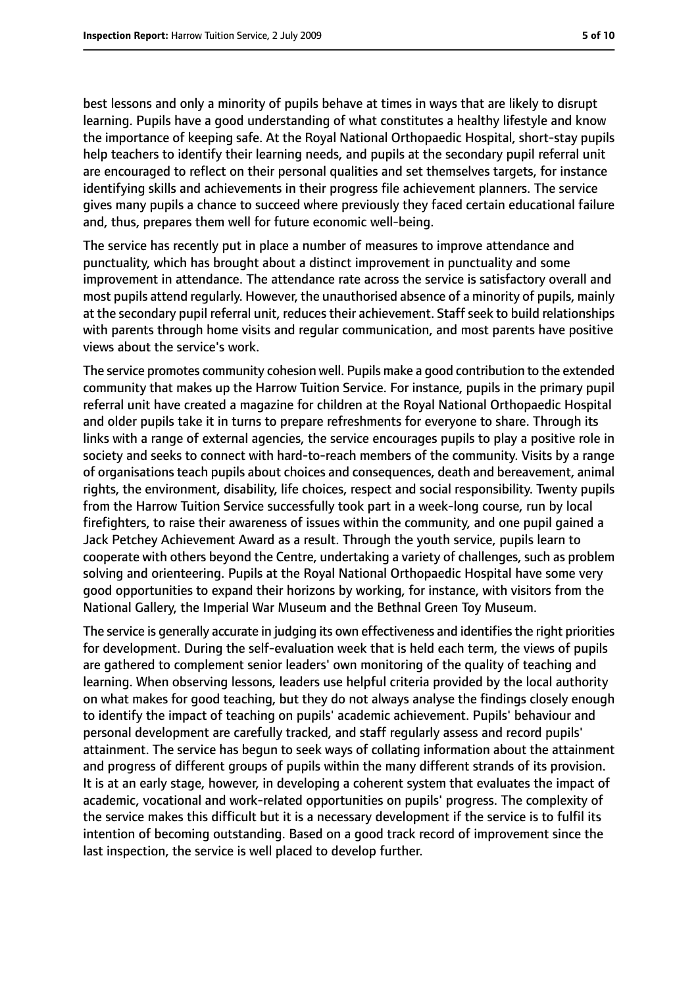best lessons and only a minority of pupils behave at times in ways that are likely to disrupt learning. Pupils have a good understanding of what constitutes a healthy lifestyle and know the importance of keeping safe. At the Royal National Orthopaedic Hospital, short-stay pupils help teachers to identify their learning needs, and pupils at the secondary pupil referral unit are encouraged to reflect on their personal qualities and set themselves targets, for instance identifying skills and achievements in their progress file achievement planners. The service gives many pupils a chance to succeed where previously they faced certain educational failure and, thus, prepares them well for future economic well-being.

The service has recently put in place a number of measures to improve attendance and punctuality, which has brought about a distinct improvement in punctuality and some improvement in attendance. The attendance rate across the service is satisfactory overall and most pupils attend regularly. However, the unauthorised absence of a minority of pupils, mainly at the secondary pupil referral unit, reduces their achievement. Staff seek to build relationships with parents through home visits and regular communication, and most parents have positive views about the service's work.

The service promotes community cohesion well. Pupils make a good contribution to the extended community that makes up the Harrow Tuition Service. For instance, pupils in the primary pupil referral unit have created a magazine for children at the Royal National Orthopaedic Hospital and older pupils take it in turns to prepare refreshments for everyone to share. Through its links with a range of external agencies, the service encourages pupils to play a positive role in society and seeks to connect with hard-to-reach members of the community. Visits by a range of organisations teach pupils about choices and consequences, death and bereavement, animal rights, the environment, disability, life choices, respect and social responsibility. Twenty pupils from the Harrow Tuition Service successfully took part in a week-long course, run by local firefighters, to raise their awareness of issues within the community, and one pupil gained a Jack Petchey Achievement Award as a result. Through the youth service, pupils learn to cooperate with others beyond the Centre, undertaking a variety of challenges, such as problem solving and orienteering. Pupils at the Royal National Orthopaedic Hospital have some very good opportunities to expand their horizons by working, for instance, with visitors from the National Gallery, the Imperial War Museum and the Bethnal Green Toy Museum.

The service is generally accurate in judging its own effectiveness and identifies the right priorities for development. During the self-evaluation week that is held each term, the views of pupils are gathered to complement senior leaders' own monitoring of the quality of teaching and learning. When observing lessons, leaders use helpful criteria provided by the local authority on what makes for good teaching, but they do not always analyse the findings closely enough to identify the impact of teaching on pupils' academic achievement. Pupils' behaviour and personal development are carefully tracked, and staff regularly assess and record pupils' attainment. The service has begun to seek ways of collating information about the attainment and progress of different groups of pupils within the many different strands of its provision. It is at an early stage, however, in developing a coherent system that evaluates the impact of academic, vocational and work-related opportunities on pupils' progress. The complexity of the service makes this difficult but it is a necessary development if the service is to fulfil its intention of becoming outstanding. Based on a good track record of improvement since the last inspection, the service is well placed to develop further.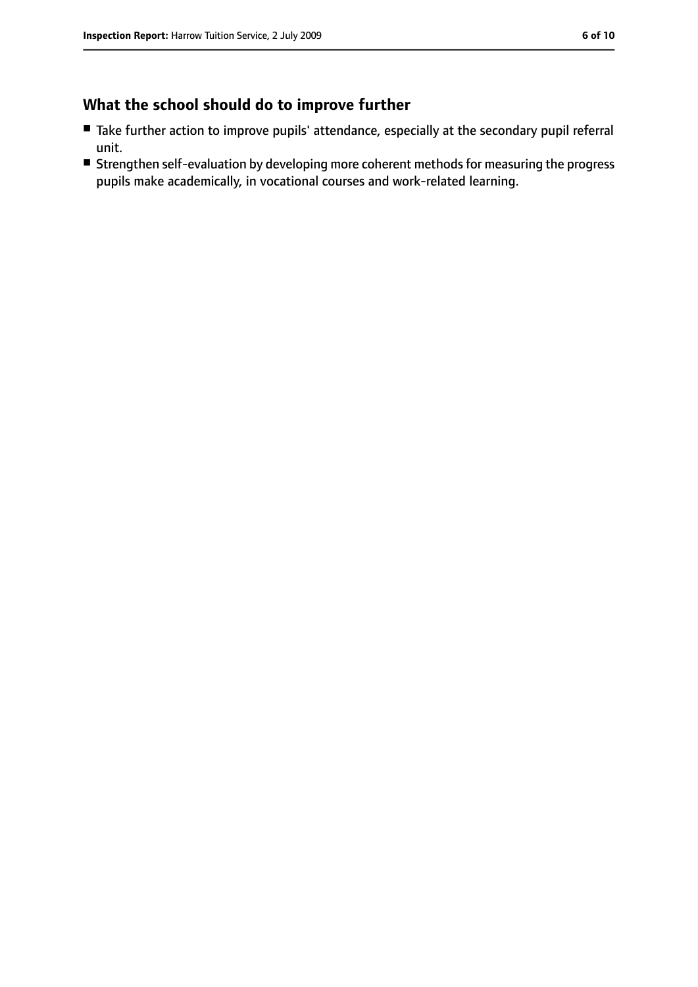# **What the school should do to improve further**

- Take further action to improve pupils' attendance, especially at the secondary pupil referral unit.
- Strengthen self-evaluation by developing more coherent methods for measuring the progress pupils make academically, in vocational courses and work-related learning.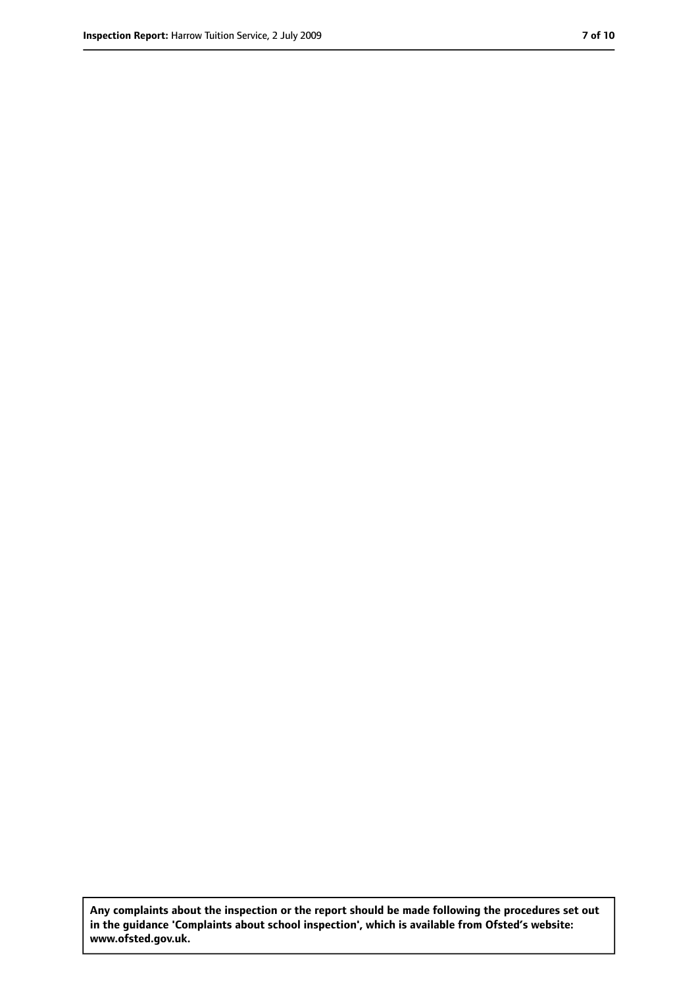**Any complaints about the inspection or the report should be made following the procedures set out in the guidance 'Complaints about school inspection', which is available from Ofsted's website: www.ofsted.gov.uk.**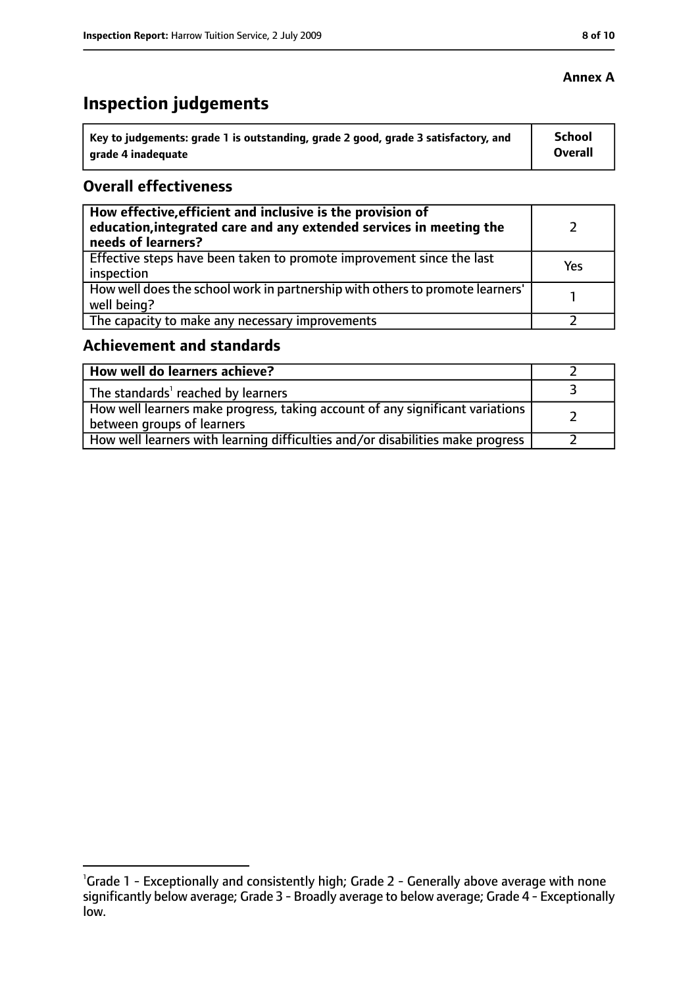#### **Annex A**

# **Inspection judgements**

| Key to judgements: grade 1 is outstanding, grade 2 good, grade 3 satisfactory, and | <b>School</b>  |
|------------------------------------------------------------------------------------|----------------|
| grade 4 inadequate                                                                 | <b>Overall</b> |

### **Overall effectiveness**

| How effective, efficient and inclusive is the provision of<br>education, integrated care and any extended services in meeting the<br>needs of learners? |     |
|---------------------------------------------------------------------------------------------------------------------------------------------------------|-----|
| Effective steps have been taken to promote improvement since the last<br>inspection                                                                     | Yes |
| How well does the school work in partnership with others to promote learners'<br>well being?                                                            |     |
| The capacity to make any necessary improvements                                                                                                         |     |

# **Achievement and standards**

| How well do learners achieve?                                                                               |  |
|-------------------------------------------------------------------------------------------------------------|--|
| $\vert$ The standards <sup>1</sup> reached by learners                                                      |  |
| How well learners make progress, taking account of any significant variations<br>between groups of learners |  |
| How well learners with learning difficulties and/or disabilities make progress                              |  |

<sup>&</sup>lt;sup>1</sup>Grade 1 - Exceptionally and consistently high; Grade 2 - Generally above average with none significantly below average; Grade 3 - Broadly average to below average; Grade 4 - Exceptionally low.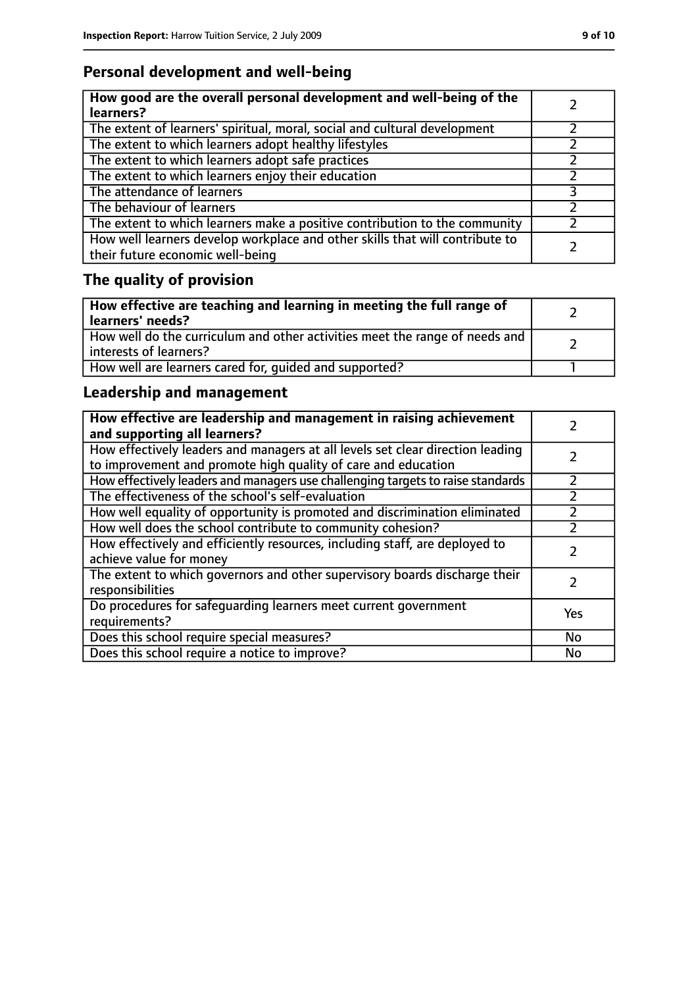# **Personal development and well-being**

| How good are the overall personal development and well-being of the<br>learners?                                 |  |
|------------------------------------------------------------------------------------------------------------------|--|
| The extent of learners' spiritual, moral, social and cultural development                                        |  |
| The extent to which learners adopt healthy lifestyles                                                            |  |
| The extent to which learners adopt safe practices                                                                |  |
| The extent to which learners enjoy their education                                                               |  |
| The attendance of learners                                                                                       |  |
| The behaviour of learners                                                                                        |  |
| The extent to which learners make a positive contribution to the community                                       |  |
| How well learners develop workplace and other skills that will contribute to<br>their future economic well-being |  |

# **The quality of provision**

| How effective are teaching and learning in meeting the full range of<br>learners' needs?              |  |
|-------------------------------------------------------------------------------------------------------|--|
| How well do the curriculum and other activities meet the range of needs and<br>interests of learners? |  |
| How well are learners cared for, quided and supported?                                                |  |

# **Leadership and management**

| How effective are leadership and management in raising achievement<br>and supporting all learners?                                              |           |
|-------------------------------------------------------------------------------------------------------------------------------------------------|-----------|
| How effectively leaders and managers at all levels set clear direction leading<br>to improvement and promote high quality of care and education |           |
| How effectively leaders and managers use challenging targets to raise standards                                                                 | フ         |
| The effectiveness of the school's self-evaluation                                                                                               |           |
| How well equality of opportunity is promoted and discrimination eliminated                                                                      |           |
| How well does the school contribute to community cohesion?                                                                                      |           |
| How effectively and efficiently resources, including staff, are deployed to<br>achieve value for money                                          |           |
| The extent to which governors and other supervisory boards discharge their<br>responsibilities                                                  |           |
| Do procedures for safequarding learners meet current government<br>requirements?                                                                | Yes       |
| Does this school require special measures?                                                                                                      | <b>No</b> |
| Does this school require a notice to improve?                                                                                                   | No        |